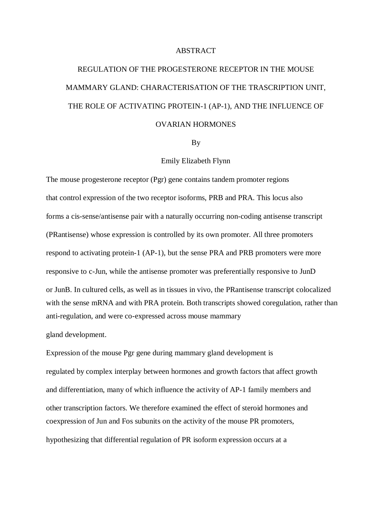## ABSTRACT

## REGULATION OF THE PROGESTERONE RECEPTOR IN THE MOUSE MAMMARY GLAND: CHARACTERISATION OF THE TRASCRIPTION UNIT, THE ROLE OF ACTIVATING PROTEIN-1 (AP-1), AND THE INFLUENCE OF OVARIAN HORMONES

By

## Emily Elizabeth Flynn

The mouse progesterone receptor (Pgr) gene contains tandem promoter regions that control expression of the two receptor isoforms, PRB and PRA. This locus also forms a cis-sense/antisense pair with a naturally occurring non-coding antisense transcript (PRantisense) whose expression is controlled by its own promoter. All three promoters respond to activating protein-1 (AP-1), but the sense PRA and PRB promoters were more responsive to c-Jun, while the antisense promoter was preferentially responsive to JunD or JunB. In cultured cells, as well as in tissues in vivo, the PRantisense transcript colocalized with the sense mRNA and with PRA protein. Both transcripts showed coregulation, rather than anti-regulation, and were co-expressed across mouse mammary

gland development.

Expression of the mouse Pgr gene during mammary gland development is regulated by complex interplay between hormones and growth factors that affect growth and differentiation, many of which influence the activity of AP-1 family members and other transcription factors. We therefore examined the effect of steroid hormones and coexpression of Jun and Fos subunits on the activity of the mouse PR promoters, hypothesizing that differential regulation of PR isoform expression occurs at a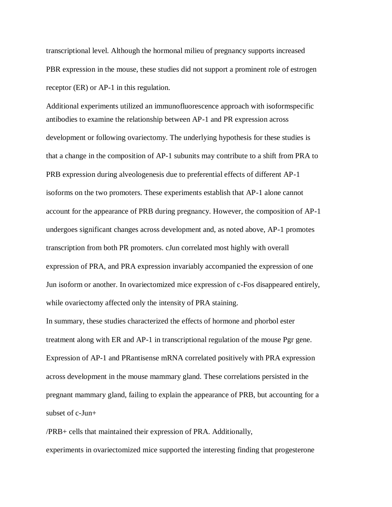transcriptional level. Although the hormonal milieu of pregnancy supports increased PBR expression in the mouse, these studies did not support a prominent role of estrogen receptor (ER) or AP-1 in this regulation.

Additional experiments utilized an immunofluorescence approach with isoformspecific antibodies to examine the relationship between AP-1 and PR expression across development or following ovariectomy. The underlying hypothesis for these studies is that a change in the composition of AP-1 subunits may contribute to a shift from PRA to PRB expression during alveologenesis due to preferential effects of different AP-1 isoforms on the two promoters. These experiments establish that AP-1 alone cannot account for the appearance of PRB during pregnancy. However, the composition of AP-1 undergoes significant changes across development and, as noted above, AP-1 promotes transcription from both PR promoters. cJun correlated most highly with overall expression of PRA, and PRA expression invariably accompanied the expression of one Jun isoform or another. In ovariectomized mice expression of c-Fos disappeared entirely, while ovariectomy affected only the intensity of PRA staining.

In summary, these studies characterized the effects of hormone and phorbol ester treatment along with ER and AP-1 in transcriptional regulation of the mouse Pgr gene. Expression of AP-1 and PRantisense mRNA correlated positively with PRA expression across development in the mouse mammary gland. These correlations persisted in the pregnant mammary gland, failing to explain the appearance of PRB, but accounting for a subset of c-Jun+

/PRB+ cells that maintained their expression of PRA. Additionally, experiments in ovariectomized mice supported the interesting finding that progesterone